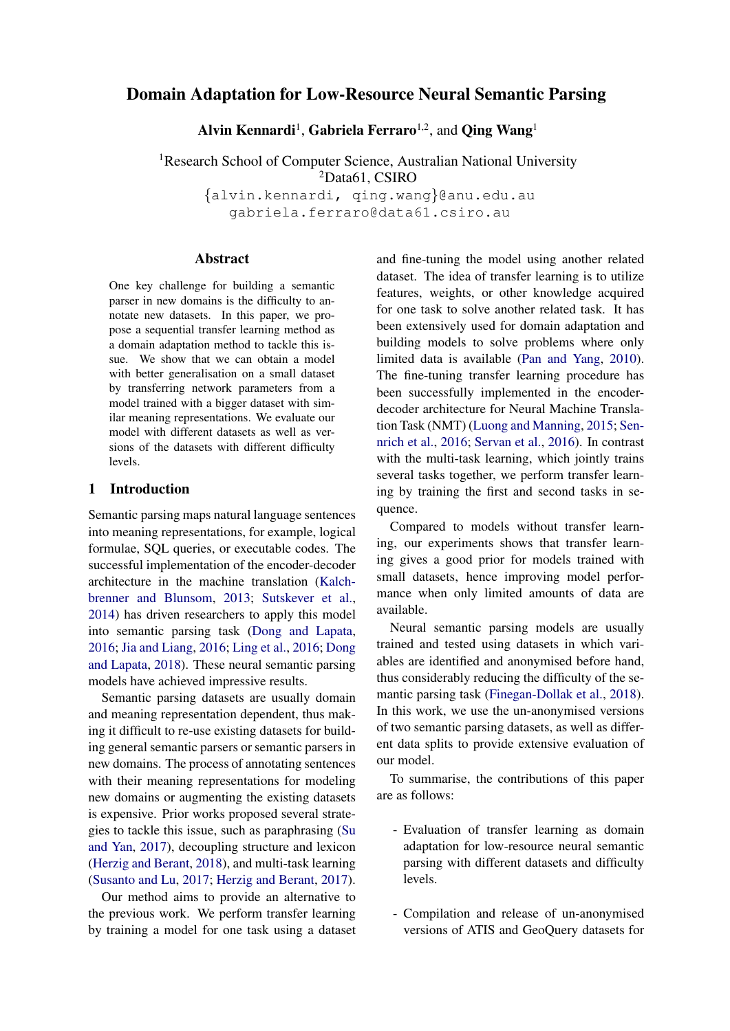# Domain Adaptation for Low-Resource Neural Semantic Parsing

Alvin Kennardi<sup>1</sup>, Gabriela Ferraro<sup>1,2</sup>, and Qing Wang<sup>1</sup>

<sup>1</sup>Research School of Computer Science, Australian National University <sup>2</sup>Data61, CSIRO

{alvin.kennardi, qing.wang}@anu.edu.au gabriela.ferraro@data61.csiro.au

### **Abstract**

One key challenge for building a semantic parser in new domains is the difficulty to annotate new datasets. In this paper, we propose a sequential transfer learning method as a domain adaptation method to tackle this issue. We show that we can obtain a model with better generalisation on a small dataset by transferring network parameters from a model trained with a bigger dataset with similar meaning representations. We evaluate our model with different datasets as well as versions of the datasets with different difficulty levels.

## 1 Introduction

Semantic parsing maps natural language sentences into meaning representations, for example, logical formulae, SQL queries, or executable codes. The successful implementation of the encoder-decoder architecture in the machine translation [\(Kalch](#page-5-0)[brenner and Blunsom,](#page-5-0) [2013;](#page-5-0) [Sutskever et al.,](#page-6-0) [2014\)](#page-6-0) has driven researchers to apply this model into semantic parsing task [\(Dong and Lapata,](#page-5-1) [2016;](#page-5-1) [Jia and Liang,](#page-5-2) [2016;](#page-5-2) [Ling et al.,](#page-5-3) [2016;](#page-5-3) [Dong](#page-5-4) [and Lapata,](#page-5-4) [2018\)](#page-5-4). These neural semantic parsing models have achieved impressive results.

Semantic parsing datasets are usually domain and meaning representation dependent, thus making it difficult to re-use existing datasets for building general semantic parsers or semantic parsers in new domains. The process of annotating sentences with their meaning representations for modeling new domains or augmenting the existing datasets is expensive. Prior works proposed several strategies to tackle this issue, such as paraphrasing [\(Su](#page-6-1) [and Yan,](#page-6-1) [2017\)](#page-6-1), decoupling structure and lexicon [\(Herzig and Berant,](#page-5-5) [2018\)](#page-5-5), and multi-task learning [\(Susanto and Lu,](#page-6-2) [2017;](#page-6-2) [Herzig and Berant,](#page-5-6) [2017\)](#page-5-6).

Our method aims to provide an alternative to the previous work. We perform transfer learning by training a model for one task using a dataset and fine-tuning the model using another related dataset. The idea of transfer learning is to utilize features, weights, or other knowledge acquired for one task to solve another related task. It has been extensively used for domain adaptation and building models to solve problems where only limited data is available [\(Pan and Yang,](#page-5-7) [2010\)](#page-5-7). The fine-tuning transfer learning procedure has been successfully implemented in the encoderdecoder architecture for Neural Machine Translation Task (NMT) [\(Luong and Manning,](#page-5-8) [2015;](#page-5-8) [Sen](#page-5-9)[nrich et al.,](#page-5-9) [2016;](#page-5-9) [Servan et al.,](#page-5-10) [2016\)](#page-5-10). In contrast with the multi-task learning, which jointly trains several tasks together, we perform transfer learning by training the first and second tasks in sequence.

Compared to models without transfer learning, our experiments shows that transfer learning gives a good prior for models trained with small datasets, hence improving model performance when only limited amounts of data are available.

Neural semantic parsing models are usually trained and tested using datasets in which variables are identified and anonymised before hand, thus considerably reducing the difficulty of the semantic parsing task [\(Finegan-Dollak et al.,](#page-5-11) [2018\)](#page-5-11). In this work, we use the un-anonymised versions of two semantic parsing datasets, as well as different data splits to provide extensive evaluation of our model.

To summarise, the contributions of this paper are as follows:

- Evaluation of transfer learning as domain adaptation for low-resource neural semantic parsing with different datasets and difficulty levels.
- Compilation and release of un-anonymised versions of ATIS and GeoQuery datasets for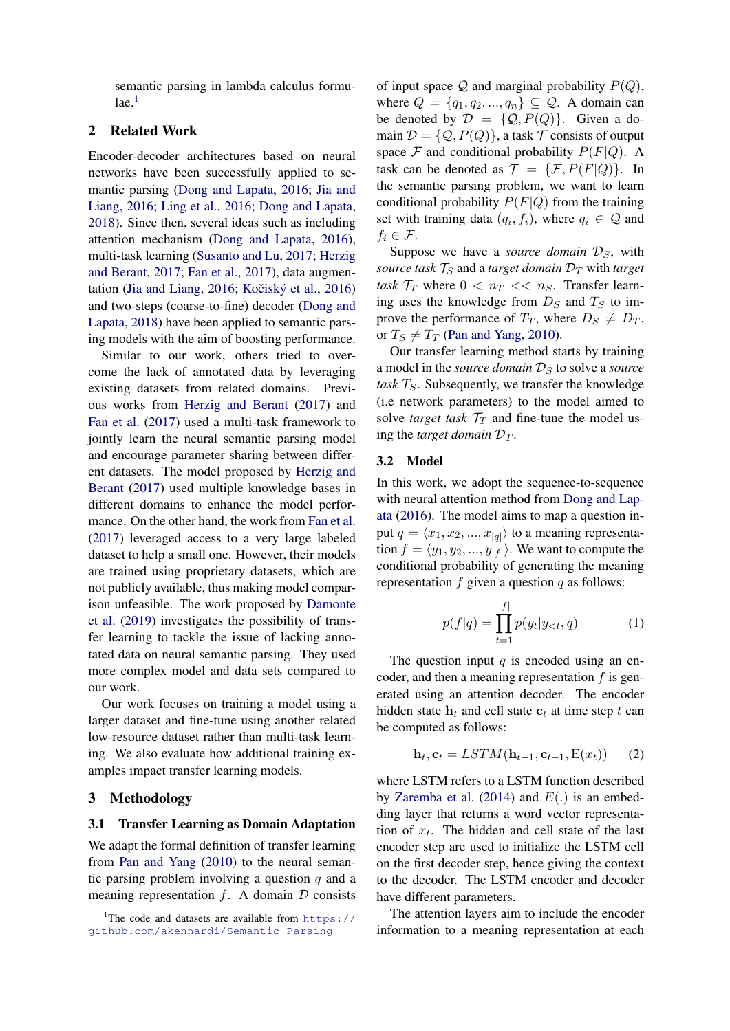semantic parsing in lambda calculus formu- $1$ ae. $<sup>1</sup>$ </sup>

## 2 Related Work

Encoder-decoder architectures based on neural networks have been successfully applied to semantic parsing [\(Dong and Lapata,](#page-5-1) [2016;](#page-5-1) [Jia and](#page-5-2) [Liang,](#page-5-2) [2016;](#page-5-2) [Ling et al.,](#page-5-3) [2016;](#page-5-3) [Dong and Lapata,](#page-5-4) [2018\)](#page-5-4). Since then, several ideas such as including attention mechanism [\(Dong and Lapata,](#page-5-1) [2016\)](#page-5-1), multi-task learning [\(Susanto and Lu,](#page-6-2) [2017;](#page-6-2) [Herzig](#page-5-6) [and Berant,](#page-5-6) [2017;](#page-5-6) [Fan et al.,](#page-5-12) [2017\)](#page-5-12), data augmen-tation [\(Jia and Liang,](#page-5-2) [2016;](#page-5-2) Kočiský et al., [2016\)](#page-5-13) and two-steps (coarse-to-fine) decoder [\(Dong and](#page-5-4) [Lapata,](#page-5-4) [2018\)](#page-5-4) have been applied to semantic parsing models with the aim of boosting performance.

Similar to our work, others tried to overcome the lack of annotated data by leveraging existing datasets from related domains. Previous works from [Herzig and Berant](#page-5-6) [\(2017\)](#page-5-6) and [Fan et al.](#page-5-12) [\(2017\)](#page-5-12) used a multi-task framework to jointly learn the neural semantic parsing model and encourage parameter sharing between different datasets. The model proposed by [Herzig and](#page-5-6) [Berant](#page-5-6) [\(2017\)](#page-5-6) used multiple knowledge bases in different domains to enhance the model performance. On the other hand, the work from [Fan et al.](#page-5-12) [\(2017\)](#page-5-12) leveraged access to a very large labeled dataset to help a small one. However, their models are trained using proprietary datasets, which are not publicly available, thus making model comparison unfeasible. The work proposed by [Damonte](#page-5-14) [et al.](#page-5-14) [\(2019\)](#page-5-14) investigates the possibility of transfer learning to tackle the issue of lacking annotated data on neural semantic parsing. They used more complex model and data sets compared to our work.

Our work focuses on training a model using a larger dataset and fine-tune using another related low-resource dataset rather than multi-task learning. We also evaluate how additional training examples impact transfer learning models.

### 3 Methodology

### 3.1 Transfer Learning as Domain Adaptation

We adapt the formal definition of transfer learning from [Pan and Yang](#page-5-7) [\(2010\)](#page-5-7) to the neural semantic parsing problem involving a question  $q$  and a meaning representation  $f$ . A domain  $D$  consists

of input space  $Q$  and marginal probability  $P(Q)$ , where  $Q = \{q_1, q_2, ..., q_n\} \subseteq Q$ . A domain can be denoted by  $\mathcal{D} = \{Q, P(Q)\}\$ . Given a domain  $\mathcal{D} = \{Q, P(Q)\}\$ , a task  $\mathcal T$  consists of output space  $\mathcal F$  and conditional probability  $P(F|Q)$ . A task can be denoted as  $\mathcal{T} = {\mathcal{F}, P(F|Q)}$ . In the semantic parsing problem, we want to learn conditional probability  $P(F|Q)$  from the training set with training data  $(q_i, f_i)$ , where  $q_i \in \mathcal{Q}$  and  $f_i \in \mathcal{F}.$ 

Suppose we have a *source domain*  $\mathcal{D}_S$ , with *source task*  $T_S$  and a *target domain*  $D_T$  with *target task*  $\mathcal{T}_T$  where  $0 < n_T < n_S$ . Transfer learning uses the knowledge from  $D<sub>S</sub>$  and  $T<sub>S</sub>$  to improve the performance of  $T_T$ , where  $D_S \neq D_T$ , or  $T_s \neq T_T$  [\(Pan and Yang,](#page-5-7) [2010\)](#page-5-7).

Our transfer learning method starts by training a model in the *source domain*  $\mathcal{D}_S$  to solve a *source task*  $T<sub>S</sub>$ . Subsequently, we transfer the knowledge (i.e network parameters) to the model aimed to solve *target task*  $\mathcal{T}_T$  and fine-tune the model using the *target domain*  $\mathcal{D}_T$ .

### 3.2 Model

In this work, we adopt the sequence-to-sequence with neural attention method from [Dong and Lap](#page-5-1)[ata](#page-5-1) [\(2016\)](#page-5-1). The model aims to map a question input  $q = \langle x_1, x_2, ..., x_{|q|} \rangle$  to a meaning representation  $f = \langle y_1, y_2, ..., y_{|f|} \rangle$ . We want to compute the conditional probability of generating the meaning representation  $f$  given a question  $q$  as follows:

$$
p(f|q) = \prod_{t=1}^{|f|} p(y_t|y_{
$$

The question input  $q$  is encoded using an encoder, and then a meaning representation  $f$  is generated using an attention decoder. The encoder hidden state  $h_t$  and cell state  $c_t$  at time step t can be computed as follows:

$$
\mathbf{h}_t, \mathbf{c}_t = LSTM(\mathbf{h}_{t-1}, \mathbf{c}_{t-1}, E(x_t))
$$
 (2)

where LSTM refers to a LSTM function described by [Zaremba et al.](#page-6-3) [\(2014\)](#page-6-3) and  $E(.)$  is an embedding layer that returns a word vector representation of  $x_t$ . The hidden and cell state of the last encoder step are used to initialize the LSTM cell on the first decoder step, hence giving the context to the decoder. The LSTM encoder and decoder have different parameters.

The attention layers aim to include the encoder information to a meaning representation at each

<span id="page-1-0"></span><sup>&</sup>lt;sup>1</sup>The code and datasets are available from [https://](https://github.com/akennardi/Semantic-Parsing) [github.com/akennardi/Semantic-Parsing](https://github.com/akennardi/Semantic-Parsing)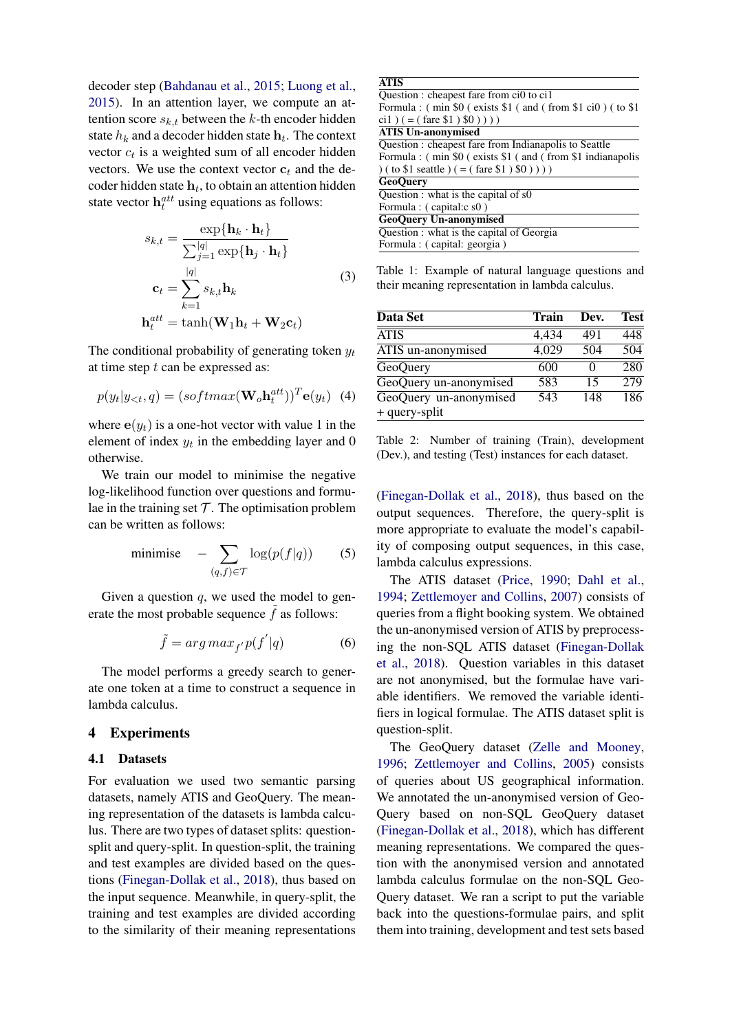decoder step [\(Bahdanau et al.,](#page-5-15) [2015;](#page-5-15) [Luong et al.,](#page-5-16) [2015\)](#page-5-16). In an attention layer, we compute an attention score  $s_{k,t}$  between the k-th encoder hidden state  $h_k$  and a decoder hidden state  $h_t$ . The context vector  $c_t$  is a weighted sum of all encoder hidden vectors. We use the context vector  $c_t$  and the decoder hidden state  $h_t$ , to obtain an attention hidden state vector  $h_t^{att}$  using equations as follows:

$$
s_{k,t} = \frac{\exp{\{\mathbf{h}_k \cdot \mathbf{h}_t\}}}{\sum_{j=1}^{|q|} \exp{\{\mathbf{h}_j \cdot \mathbf{h}_t\}}}
$$
  

$$
\mathbf{c}_t = \sum_{k=1}^{|q|} s_{k,t} \mathbf{h}_k
$$
  

$$
\mathbf{h}_t^{att} = \tanh(\mathbf{W}_1 \mathbf{h}_t + \mathbf{W}_2 \mathbf{c}_t)
$$
 (3)

The conditional probability of generating token  $y_t$ at time step  $t$  can be expressed as:

$$
p(y_t|y_{<};q) = (softmax(\mathbf{W}_o\mathbf{h}_t^{att}))^T \mathbf{e}(y_t) \tag{4}
$$

where  $e(y_t)$  is a one-hot vector with value 1 in the element of index  $y_t$  in the embedding layer and 0 otherwise.

We train our model to minimise the negative log-likelihood function over questions and formulae in the training set  $T$ . The optimisation problem can be written as follows:

<span id="page-2-1"></span>
$$
\text{minimise} \quad -\sum_{(q,f)\in\mathcal{T}} \log(p(f|q)) \qquad (5)
$$

Given a question  $q$ , we used the model to generate the most probable sequence  $\tilde{f}$  as follows:

$$
\tilde{f} = arg \, max_{f'} p(f'|q) \tag{6}
$$

The model performs a greedy search to generate one token at a time to construct a sequence in lambda calculus.

#### 4 Experiments

#### 4.1 Datasets

For evaluation we used two semantic parsing datasets, namely ATIS and GeoQuery. The meaning representation of the datasets is lambda calculus. There are two types of dataset splits: questionsplit and query-split. In question-split, the training and test examples are divided based on the questions [\(Finegan-Dollak et al.,](#page-5-11) [2018\)](#page-5-11), thus based on the input sequence. Meanwhile, in query-split, the training and test examples are divided according to the similarity of their meaning representations

| <b>ATIS</b>                                               |
|-----------------------------------------------------------|
| Question : cheapest fare from ci0 to ci1                  |
| Formula: (min \$0 (exists \$1 (and (from \$1 ci0) (to \$1 |
| ci1) $(=($ fare \$1) \$0) $))$                            |
| <b>ATIS Un-anonymised</b>                                 |
| Question : cheapest fare from Indianapolis to Seattle     |
| Formula: (min \$0) exists \$1 (and (from \$1 indianapolis |
| ) ( to \$1 seattle ) ( = ( fare \$1 $($ \$0 $))$ ))       |
| <b>GeoOuerv</b>                                           |
| Question : what is the capital of s0                      |
| Formula : (capital:c s0)                                  |
| <b>GeoQuery Un-anonymised</b>                             |
| Question : what is the capital of Georgia                 |
| Formula : (capital: georgia)                              |

Table 1: Example of natural language questions and their meaning representation in lambda calculus.

<span id="page-2-0"></span>

| Data Set               | Train | Dev.     | <b>Test</b> |
|------------------------|-------|----------|-------------|
| <b>ATIS</b>            | 4,434 | 491      | 448         |
| ATIS un-anonymised     | 4,029 | 504      | 504         |
| GeoQuery               | 600   | $\Omega$ | 280         |
| GeoQuery un-anonymised | 583   | 15       | 279         |
| GeoQuery un-anonymised | 543   | 148      | 186         |
| + query-split          |       |          |             |

Table 2: Number of training (Train), development (Dev.), and testing (Test) instances for each dataset.

[\(Finegan-Dollak et al.,](#page-5-11) [2018\)](#page-5-11), thus based on the output sequences. Therefore, the query-split is more appropriate to evaluate the model's capability of composing output sequences, in this case, lambda calculus expressions.

<span id="page-2-2"></span>The ATIS dataset [\(Price,](#page-5-17) [1990;](#page-5-17) [Dahl et al.,](#page-5-18) [1994;](#page-5-18) [Zettlemoyer and Collins,](#page-6-4) [2007\)](#page-6-4) consists of queries from a flight booking system. We obtained the un-anonymised version of ATIS by preprocessing the non-SQL ATIS dataset [\(Finegan-Dollak](#page-5-11) [et al.,](#page-5-11) [2018\)](#page-5-11). Question variables in this dataset are not anonymised, but the formulae have variable identifiers. We removed the variable identifiers in logical formulae. The ATIS dataset split is question-split.

The GeoQuery dataset [\(Zelle and Mooney,](#page-6-5) [1996;](#page-6-5) [Zettlemoyer and Collins,](#page-6-6) [2005\)](#page-6-6) consists of queries about US geographical information. We annotated the un-anonymised version of Geo-Query based on non-SQL GeoQuery dataset [\(Finegan-Dollak et al.,](#page-5-11) [2018\)](#page-5-11), which has different meaning representations. We compared the question with the anonymised version and annotated lambda calculus formulae on the non-SQL Geo-Query dataset. We ran a script to put the variable back into the questions-formulae pairs, and split them into training, development and test sets based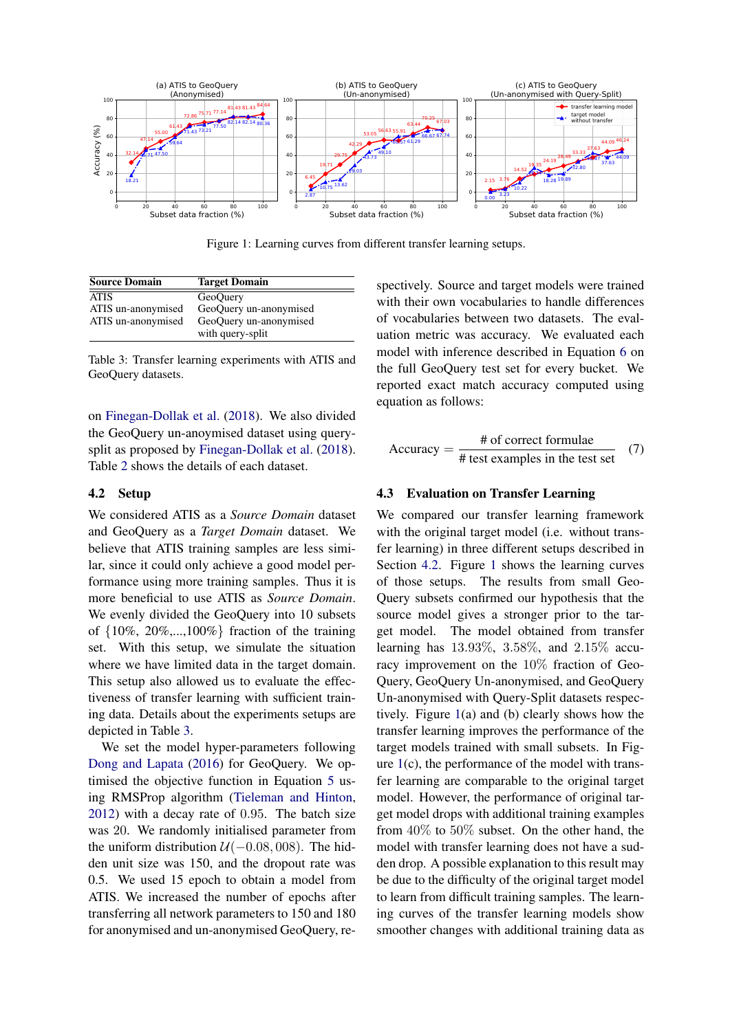<span id="page-3-2"></span>

Figure 1: Learning curves from different transfer learning setups.

<span id="page-3-0"></span>

| <b>Source Domain</b> | <b>Target Domain</b>   |
|----------------------|------------------------|
| <b>ATIS</b>          | GeoQuery               |
| ATIS un-anonymised   | GeoQuery un-anonymised |
| ATIS un-anonymised   | GeoQuery un-anonymised |
|                      | with query-split       |

Table 3: Transfer learning experiments with ATIS and GeoQuery datasets.

on [Finegan-Dollak et al.](#page-5-11) [\(2018\)](#page-5-11). We also divided the GeoQuery un-anoymised dataset using querysplit as proposed by [Finegan-Dollak et al.](#page-5-11) [\(2018\)](#page-5-11). Table [2](#page-2-0) shows the details of each dataset.

### <span id="page-3-1"></span>4.2 Setup

We considered ATIS as a *Source Domain* dataset and GeoQuery as a *Target Domain* dataset. We believe that ATIS training samples are less similar, since it could only achieve a good model performance using more training samples. Thus it is more beneficial to use ATIS as *Source Domain*. We evenly divided the GeoQuery into 10 subsets of  $\{10\%, 20\%, \ldots, 100\% \}$  fraction of the training set. With this setup, we simulate the situation where we have limited data in the target domain. This setup also allowed us to evaluate the effectiveness of transfer learning with sufficient training data. Details about the experiments setups are depicted in Table [3.](#page-3-0)

We set the model hyper-parameters following [Dong and Lapata](#page-5-1) [\(2016\)](#page-5-1) for GeoQuery. We optimised the objective function in Equation [5](#page-2-1) using RMSProp algorithm [\(Tieleman and Hinton,](#page-6-7) [2012\)](#page-6-7) with a decay rate of 0.95. The batch size was 20. We randomly initialised parameter from the uniform distribution  $U(-0.08, 008)$ . The hidden unit size was 150, and the dropout rate was 0.5. We used 15 epoch to obtain a model from ATIS. We increased the number of epochs after transferring all network parameters to 150 and 180 for anonymised and un-anonymised GeoQuery, re-

spectively. Source and target models were trained with their own vocabularies to handle differences of vocabularies between two datasets. The evaluation metric was accuracy. We evaluated each model with inference described in Equation [6](#page-2-2) on the full GeoQuery test set for every bucket. We reported exact match accuracy computed using equation as follows:

$$
Accuracy = \frac{\text{\# of correct formulae}}{\text{\# test examples in the test set}} \quad (7)
$$

### 4.3 Evaluation on Transfer Learning

We compared our transfer learning framework with the original target model (*i.e.* without transfer learning) in three different setups described in Section [4.2.](#page-3-1) Figure [1](#page-3-2) shows the learning curves of those setups. The results from small Geo-Query subsets confirmed our hypothesis that the source model gives a stronger prior to the target model. The model obtained from transfer learning has 13.93%, 3.58%, and 2.15% accuracy improvement on the 10% fraction of Geo-Query, GeoQuery Un-anonymised, and GeoQuery Un-anonymised with Query-Split datasets respectively. Figure [1\(](#page-3-2)a) and (b) clearly shows how the transfer learning improves the performance of the target models trained with small subsets. In Figure  $1(c)$  $1(c)$ , the performance of the model with transfer learning are comparable to the original target model. However, the performance of original target model drops with additional training examples from 40% to 50% subset. On the other hand, the model with transfer learning does not have a sudden drop. A possible explanation to this result may be due to the difficulty of the original target model to learn from difficult training samples. The learning curves of the transfer learning models show smoother changes with additional training data as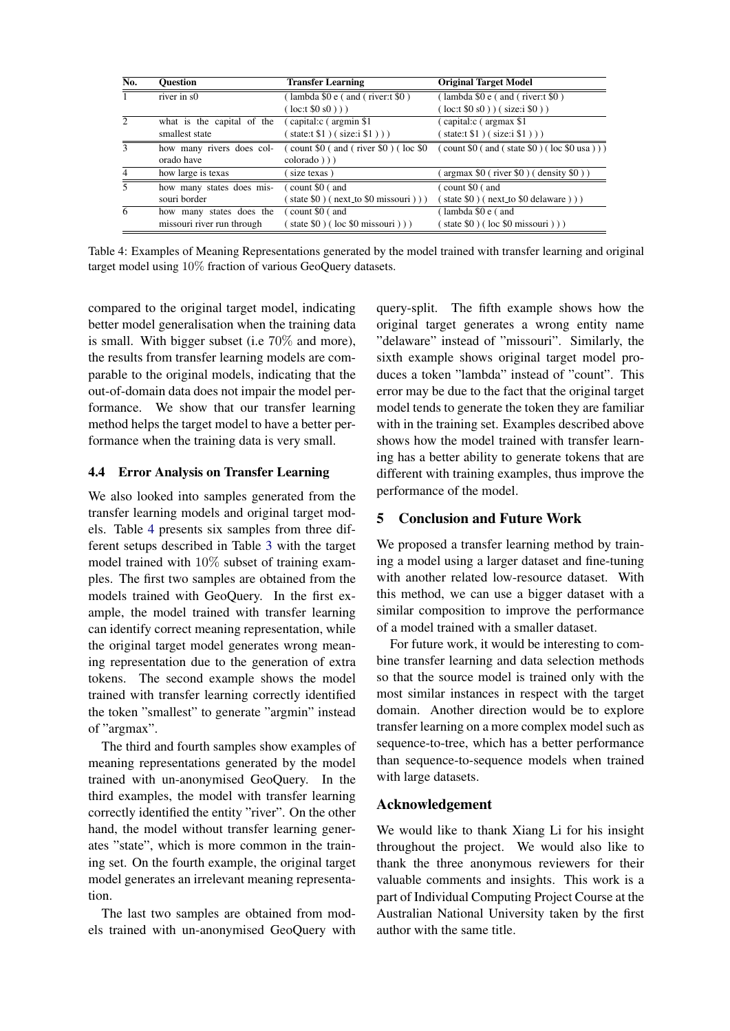<span id="page-4-0"></span>

| No.                      | <b>Ouestion</b>            | <b>Transfer Learning</b>                                                                 | <b>Original Target Model</b>                                                                            |
|--------------------------|----------------------------|------------------------------------------------------------------------------------------|---------------------------------------------------------------------------------------------------------|
| $\mathbf{1}$             | river in s0                | lambda \$0 e (and (river:t \$0)                                                          | $\mu$ (lambda \$0 e $\mu$ and $\mu$ river: t \$0 $\mu$ )                                                |
|                          |                            | $(\text{loc:}t \$0 s0))$                                                                 | $(\text{loc:}t \$0 \text{ s}0)) (\text{size:}i \$0))$                                                   |
| $\mathfrak{D}$           | what is the capital of the | (capital: c (argmin \$1)                                                                 | (capital:c (argmax \$1)                                                                                 |
|                          | smallest state             | state: $( $1 ) ( size: i $1 ) )$                                                         | state: $( $1 ) ( size: i $1 ) )$                                                                        |
| $\mathbf{3}$             | how many rivers does col-  | $\frac{1}{2}$ count \$0 $\frac{1}{2}$ and $\frac{1}{2}$ river \$0 $\frac{1}{2}$ (loc \$0 | $\left(\text{ count } \$0 \text{ ( and ( state } \$0 \text{ )} \text{ ( loc } \$0 \text{ usa })\right)$ |
|                          | orado have                 | $colorado$ $))$                                                                          |                                                                                                         |
| $\overline{4}$           | how large is texas         | size texas)                                                                              | $argmax$ \$0 (river \$0) (density \$0))                                                                 |
| $\overline{\phantom{0}}$ | how many states does mis-  | $\frac{1}{2}$ count \$0 $\frac{1}{2}$ and                                                | $\frac{1}{2}$ count \$0 $\frac{1}{2}$ and                                                               |
|                          | souri border               | state $$0$ ) (next_to $$0$ missouri)))                                                   | $( state $0) ( next_to $0 del aware)) )$                                                                |
| 6                        | how many states does the   | $\frac{1}{2}$ count \$0 $\frac{1}{2}$ and                                                | (lambda \$0 e (and                                                                                      |
|                          | missouri river run through | state $$0$ ) (loc $$0$ missouri))                                                        | state $$0$ ) (loc $$0$ missouri))                                                                       |

Table 4: Examples of Meaning Representations generated by the model trained with transfer learning and original target model using 10% fraction of various GeoQuery datasets.

compared to the original target model, indicating better model generalisation when the training data is small. With bigger subset (i.e 70% and more), the results from transfer learning models are comparable to the original models, indicating that the out-of-domain data does not impair the model performance. We show that our transfer learning method helps the target model to have a better performance when the training data is very small.

### 4.4 Error Analysis on Transfer Learning

We also looked into samples generated from the transfer learning models and original target models. Table [4](#page-4-0) presents six samples from three different setups described in Table [3](#page-3-0) with the target model trained with 10% subset of training examples. The first two samples are obtained from the models trained with GeoQuery. In the first example, the model trained with transfer learning can identify correct meaning representation, while the original target model generates wrong meaning representation due to the generation of extra tokens. The second example shows the model trained with transfer learning correctly identified the token "smallest" to generate "argmin" instead of "argmax".

The third and fourth samples show examples of meaning representations generated by the model trained with un-anonymised GeoQuery. In the third examples, the model with transfer learning correctly identified the entity "river". On the other hand, the model without transfer learning generates "state", which is more common in the training set. On the fourth example, the original target model generates an irrelevant meaning representation.

The last two samples are obtained from models trained with un-anonymised GeoQuery with

query-split. The fifth example shows how the original target generates a wrong entity name "delaware" instead of "missouri". Similarly, the sixth example shows original target model produces a token "lambda" instead of "count". This error may be due to the fact that the original target model tends to generate the token they are familiar with in the training set. Examples described above shows how the model trained with transfer learning has a better ability to generate tokens that are different with training examples, thus improve the performance of the model.

# 5 Conclusion and Future Work

We proposed a transfer learning method by training a model using a larger dataset and fine-tuning with another related low-resource dataset. With this method, we can use a bigger dataset with a similar composition to improve the performance of a model trained with a smaller dataset.

For future work, it would be interesting to combine transfer learning and data selection methods so that the source model is trained only with the most similar instances in respect with the target domain. Another direction would be to explore transfer learning on a more complex model such as sequence-to-tree, which has a better performance than sequence-to-sequence models when trained with large datasets.

# Acknowledgement

We would like to thank Xiang Li for his insight throughout the project. We would also like to thank the three anonymous reviewers for their valuable comments and insights. This work is a part of Individual Computing Project Course at the Australian National University taken by the first author with the same title.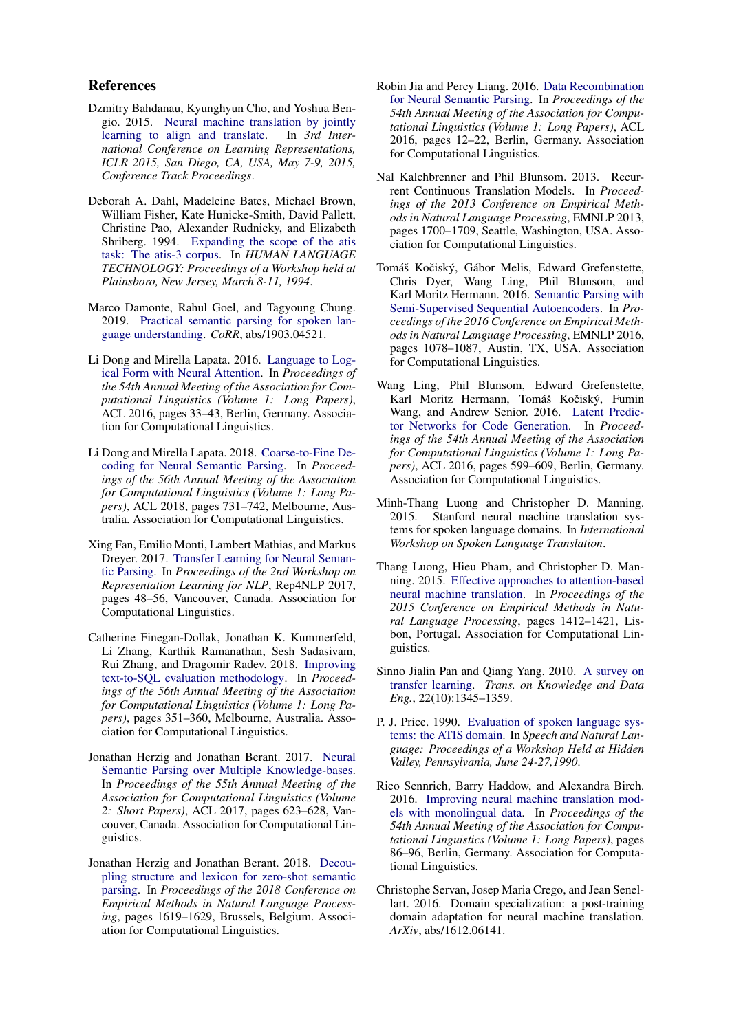### References

- <span id="page-5-15"></span>Dzmitry Bahdanau, Kyunghyun Cho, and Yoshua Bengio. 2015. [Neural machine translation by jointly](http://arxiv.org/abs/1409.0473) [learning to align and translate.](http://arxiv.org/abs/1409.0473) In *3rd International Conference on Learning Representations, ICLR 2015, San Diego, CA, USA, May 7-9, 2015, Conference Track Proceedings*.
- <span id="page-5-18"></span>Deborah A. Dahl, Madeleine Bates, Michael Brown, William Fisher, Kate Hunicke-Smith, David Pallett, Christine Pao, Alexander Rudnicky, and Elizabeth Shriberg. 1994. [Expanding the scope of the atis](https://www.aclweb.org/anthology/H94-1010) [task: The atis-3 corpus.](https://www.aclweb.org/anthology/H94-1010) In *HUMAN LANGUAGE TECHNOLOGY: Proceedings of a Workshop held at Plainsboro, New Jersey, March 8-11, 1994*.
- <span id="page-5-14"></span>Marco Damonte, Rahul Goel, and Tagyoung Chung. 2019. [Practical semantic parsing for spoken lan](http://arxiv.org/abs/1903.04521)[guage understanding.](http://arxiv.org/abs/1903.04521) *CoRR*, abs/1903.04521.
- <span id="page-5-1"></span>Li Dong and Mirella Lapata. 2016. [Language to Log](https://doi.org/10.18653/v1/P16-1004)[ical Form with Neural Attention.](https://doi.org/10.18653/v1/P16-1004) In *Proceedings of the 54th Annual Meeting of the Association for Computational Linguistics (Volume 1: Long Papers)*, ACL 2016, pages 33–43, Berlin, Germany. Association for Computational Linguistics.
- <span id="page-5-4"></span>Li Dong and Mirella Lapata. 2018. [Coarse-to-Fine De](https://aclanthology.info/papers/P18-1068/p18-1068)[coding for Neural Semantic Parsing.](https://aclanthology.info/papers/P18-1068/p18-1068) In *Proceedings of the 56th Annual Meeting of the Association for Computational Linguistics (Volume 1: Long Papers)*, ACL 2018, pages 731–742, Melbourne, Australia. Association for Computational Linguistics.
- <span id="page-5-12"></span>Xing Fan, Emilio Monti, Lambert Mathias, and Markus Dreyer. 2017. [Transfer Learning for Neural Seman](https://doi.org/10.18653/v1/W17-2607)[tic Parsing.](https://doi.org/10.18653/v1/W17-2607) In *Proceedings of the 2nd Workshop on Representation Learning for NLP*, Rep4NLP 2017, pages 48–56, Vancouver, Canada. Association for Computational Linguistics.
- <span id="page-5-11"></span>Catherine Finegan-Dollak, Jonathan K. Kummerfeld, Li Zhang, Karthik Ramanathan, Sesh Sadasivam, Rui Zhang, and Dragomir Radev. 2018. [Improving](https://doi.org/10.18653/v1/P18-1033) [text-to-SQL evaluation methodology.](https://doi.org/10.18653/v1/P18-1033) In *Proceedings of the 56th Annual Meeting of the Association for Computational Linguistics (Volume 1: Long Papers)*, pages 351–360, Melbourne, Australia. Association for Computational Linguistics.
- <span id="page-5-6"></span>Jonathan Herzig and Jonathan Berant. 2017. [Neural](https://doi.org/10.18653/v1/P17-2098) [Semantic Parsing over Multiple Knowledge-bases.](https://doi.org/10.18653/v1/P17-2098) In *Proceedings of the 55th Annual Meeting of the Association for Computational Linguistics (Volume 2: Short Papers)*, ACL 2017, pages 623–628, Vancouver, Canada. Association for Computational Linguistics.
- <span id="page-5-5"></span>Jonathan Herzig and Jonathan Berant. 2018. [Decou](https://doi.org/10.18653/v1/D18-1190)[pling structure and lexicon for zero-shot semantic](https://doi.org/10.18653/v1/D18-1190) [parsing.](https://doi.org/10.18653/v1/D18-1190) In *Proceedings of the 2018 Conference on Empirical Methods in Natural Language Processing*, pages 1619–1629, Brussels, Belgium. Association for Computational Linguistics.
- <span id="page-5-2"></span>Robin Jia and Percy Liang. 2016. [Data Recombination](https://doi.org/10.18653/v1/P16-1002) [for Neural Semantic Parsing.](https://doi.org/10.18653/v1/P16-1002) In *Proceedings of the 54th Annual Meeting of the Association for Computational Linguistics (Volume 1: Long Papers)*, ACL 2016, pages 12–22, Berlin, Germany. Association for Computational Linguistics.
- <span id="page-5-0"></span>Nal Kalchbrenner and Phil Blunsom. 2013. Recurrent Continuous Translation Models. In *Proceedings of the 2013 Conference on Empirical Methods in Natural Language Processing*, EMNLP 2013, pages 1700–1709, Seattle, Washington, USA. Association for Computational Linguistics.
- <span id="page-5-13"></span>Tomáš Kočiský, Gábor Melis, Edward Grefenstette, Chris Dyer, Wang Ling, Phil Blunsom, and Karl Moritz Hermann. 2016. [Semantic Parsing with](https://doi.org/10.18653/v1/D16-1116) [Semi-Supervised Sequential Autoencoders.](https://doi.org/10.18653/v1/D16-1116) In *Proceedings of the 2016 Conference on Empirical Methods in Natural Language Processing*, EMNLP 2016, pages 1078–1087, Austin, TX, USA. Association for Computational Linguistics.
- <span id="page-5-3"></span>Wang Ling, Phil Blunsom, Edward Grefenstette, Karl Moritz Hermann, Tomáš Kočiský, Fumin Wang, and Andrew Senior. 2016. [Latent Predic](https://doi.org/10.18653/v1/P16-1057)[tor Networks for Code Generation.](https://doi.org/10.18653/v1/P16-1057) In *Proceedings of the 54th Annual Meeting of the Association for Computational Linguistics (Volume 1: Long Papers)*, ACL 2016, pages 599–609, Berlin, Germany. Association for Computational Linguistics.
- <span id="page-5-8"></span>Minh-Thang Luong and Christopher D. Manning. 2015. Stanford neural machine translation systems for spoken language domains. In *International Workshop on Spoken Language Translation*.
- <span id="page-5-16"></span>Thang Luong, Hieu Pham, and Christopher D. Manning. 2015. [Effective approaches to attention-based](https://doi.org/10.18653/v1/D15-1166) [neural machine translation.](https://doi.org/10.18653/v1/D15-1166) In *Proceedings of the 2015 Conference on Empirical Methods in Natural Language Processing*, pages 1412–1421, Lisbon, Portugal. Association for Computational Linguistics.
- <span id="page-5-7"></span>Sinno Jialin Pan and Qiang Yang. 2010. [A survey on](https://doi.org/10.1109/TKDE.2009.191) [transfer learning.](https://doi.org/10.1109/TKDE.2009.191) *Trans. on Knowledge and Data Eng.*, 22(10):1345–1359.
- <span id="page-5-17"></span>P. J. Price. 1990. [Evaluation of spoken language sys](https://www.aclweb.org/anthology/H90-1020)[tems: the ATIS domain.](https://www.aclweb.org/anthology/H90-1020) In *Speech and Natural Language: Proceedings of a Workshop Held at Hidden Valley, Pennsylvania, June 24-27,1990*.
- <span id="page-5-9"></span>Rico Sennrich, Barry Haddow, and Alexandra Birch. 2016. [Improving neural machine translation mod](https://doi.org/10.18653/v1/P16-1009)[els with monolingual data.](https://doi.org/10.18653/v1/P16-1009) In *Proceedings of the 54th Annual Meeting of the Association for Computational Linguistics (Volume 1: Long Papers)*, pages 86–96, Berlin, Germany. Association for Computational Linguistics.
- <span id="page-5-10"></span>Christophe Servan, Josep Maria Crego, and Jean Senellart. 2016. Domain specialization: a post-training domain adaptation for neural machine translation. *ArXiv*, abs/1612.06141.